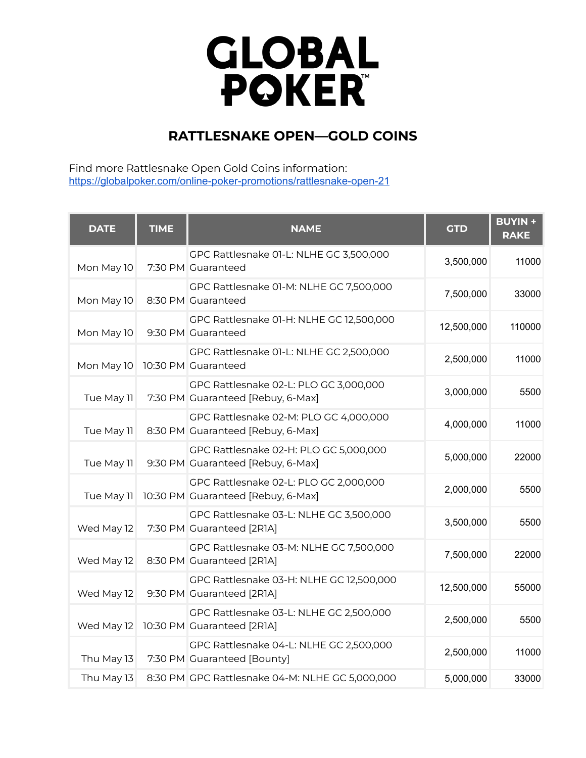## **GLOBAL**<br>POKER

## **RATTLESNAKE OPEN—GOLD COINS**

Find more Rattlesnake Open Gold Coins information: [https://globalpoker.com/online-poker-promotions/rattlesnake-open-21](https://globalpoker.com/promotions/rattlesnake-open-21)

| <b>DATE</b> | <b>TIME</b> | <b>NAME</b>                                                                  | <b>GTD</b> | <b>BUYIN +</b><br><b>RAKE</b> |
|-------------|-------------|------------------------------------------------------------------------------|------------|-------------------------------|
| Mon May 10  |             | GPC Rattlesnake 01-L: NLHE GC 3,500,000<br>7:30 PM Guaranteed                | 3,500,000  | 11000                         |
| Mon May 10  |             | GPC Rattlesnake 01-M: NLHE GC 7,500,000<br>8:30 PM Guaranteed                | 7,500,000  | 33000                         |
| Mon May 10  |             | GPC Rattlesnake 01-H: NLHE GC 12,500,000<br>9:30 PM Guaranteed               | 12,500,000 | 110000                        |
| Mon May 10  |             | GPC Rattlesnake 01-L: NLHE GC 2,500,000<br>10:30 PM Guaranteed               | 2,500,000  | 11000                         |
| Tue May 11  |             | GPC Rattlesnake 02-L: PLO GC 3,000,000<br>7:30 PM Guaranteed [Rebuy, 6-Max]  | 3,000,000  | 5500                          |
| Tue May 11  |             | GPC Rattlesnake 02-M: PLO GC 4,000,000<br>8:30 PM Guaranteed [Rebuy, 6-Max]  | 4,000,000  | 11000                         |
| Tue May 11  |             | GPC Rattlesnake 02-H: PLO GC 5,000,000<br>9:30 PM Guaranteed [Rebuy, 6-Max]  | 5,000,000  | 22000                         |
| Tue May 11  |             | GPC Rattlesnake 02-L: PLO GC 2,000,000<br>10:30 PM Guaranteed [Rebuy, 6-Max] | 2,000,000  | 5500                          |
| Wed May 12  |             | GPC Rattlesnake 03-L: NLHE GC 3,500,000<br>7:30 PM Guaranteed [2R1A]         | 3,500,000  | 5500                          |
| Wed May 12  |             | GPC Rattlesnake 03-M: NLHE GC 7,500,000<br>8:30 PM Guaranteed [2R1A]         | 7,500,000  | 22000                         |
| Wed May 12  |             | GPC Rattlesnake 03-H: NLHE GC 12,500,000<br>9:30 PM Guaranteed [2R1A]        | 12,500,000 | 55000                         |
| Wed May 12  |             | GPC Rattlesnake 03-L: NLHE GC 2,500,000<br>10:30 PM Guaranteed [2R1A]        | 2,500,000  | 5500                          |
| Thu May 13  |             | GPC Rattlesnake 04-L: NLHE GC 2,500,000<br>7:30 PM Guaranteed [Bounty]       | 2,500,000  | 11000                         |
| Thu May 13  |             | 8:30 PM GPC Rattlesnake 04-M: NLHE GC 5,000,000                              | 5,000,000  | 33000                         |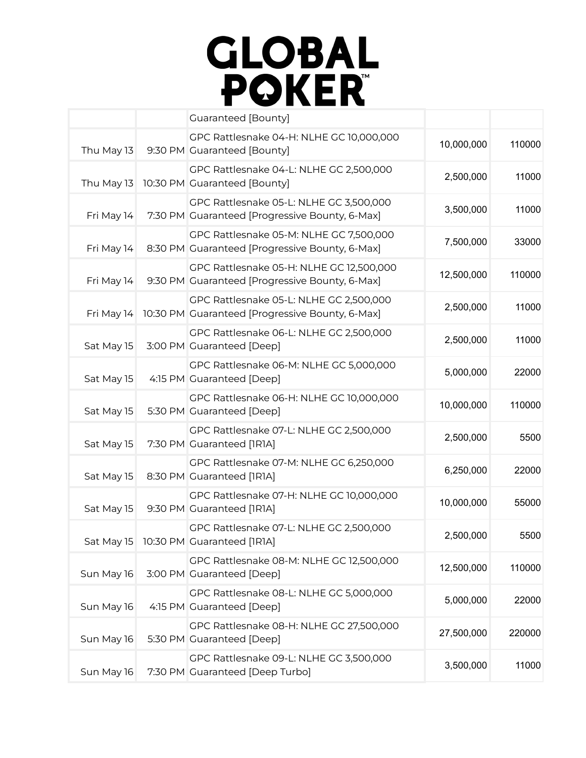

|        |            | <b>Guaranteed [Bounty]</b>                                                                 |            |
|--------|------------|--------------------------------------------------------------------------------------------|------------|
| 110000 | 10,000,000 | GPC Rattlesnake 04-H: NLHE GC 10,000,000<br>9:30 PM Guaranteed [Bounty]                    | Thu May 13 |
| 11000  | 2,500,000  | GPC Rattlesnake 04-L: NLHE GC 2,500,000<br>10:30 PM Guaranteed [Bounty]                    | Thu May 13 |
| 11000  | 3,500,000  | GPC Rattlesnake 05-L: NLHE GC 3,500,000<br>7:30 PM Guaranteed [Progressive Bounty, 6-Max]  | Fri May 14 |
| 33000  | 7,500,000  | GPC Rattlesnake 05-M: NLHE GC 7,500,000<br>8:30 PM Guaranteed [Progressive Bounty, 6-Max]  | Fri May 14 |
| 110000 | 12,500,000 | GPC Rattlesnake 05-H: NLHE GC 12,500,000<br>9:30 PM Guaranteed [Progressive Bounty, 6-Max] | Fri May 14 |
| 11000  | 2,500,000  | GPC Rattlesnake 05-L: NLHE GC 2,500,000<br>10:30 PM Guaranteed [Progressive Bounty, 6-Max] | Fri May 14 |
| 11000  | 2,500,000  | GPC Rattlesnake 06-L: NLHE GC 2,500,000<br>3:00 PM Guaranteed [Deep]                       | Sat May 15 |
| 22000  | 5,000,000  | GPC Rattlesnake 06-M: NLHE GC 5,000,000<br>4:15 PM Guaranteed [Deep]                       | Sat May 15 |
| 110000 | 10,000,000 | GPC Rattlesnake 06-H: NLHE GC 10,000,000<br>5:30 PM Guaranteed [Deep]                      | Sat May 15 |
| 5500   | 2,500,000  | GPC Rattlesnake 07-L: NLHE GC 2,500,000<br>7:30 PM Guaranteed [IRIA]                       | Sat May 15 |
| 22000  | 6,250,000  | GPC Rattlesnake 07-M: NLHE GC 6,250,000<br>8:30 PM Guaranteed [IRIA]                       | Sat May 15 |
| 55000  | 10,000,000 | GPC Rattlesnake 07-H: NLHE GC 10,000,000<br>9:30 PM Guaranteed [IRIA]                      | Sat May 15 |
| 5500   | 2,500,000  | GPC Rattlesnake 07-L: NLHE GC 2,500,000<br>Sat May 15 10:30 PM Guaranteed [1R1A]           |            |
| 110000 | 12,500,000 | GPC Rattlesnake 08-M: NLHE GC 12,500,000<br>3:00 PM Guaranteed [Deep]                      | Sun May 16 |
| 22000  | 5,000,000  | GPC Rattlesnake 08-L: NLHE GC 5,000,000<br>4:15 PM Guaranteed [Deep]                       | Sun May 16 |
| 220000 | 27,500,000 | GPC Rattlesnake 08-H: NLHE GC 27,500,000<br>5:30 PM Guaranteed [Deep]                      | Sun May 16 |
| 11000  | 3,500,000  | GPC Rattlesnake 09-L: NLHE GC 3,500,000<br>7:30 PM Guaranteed [Deep Turbo]                 | Sun May 16 |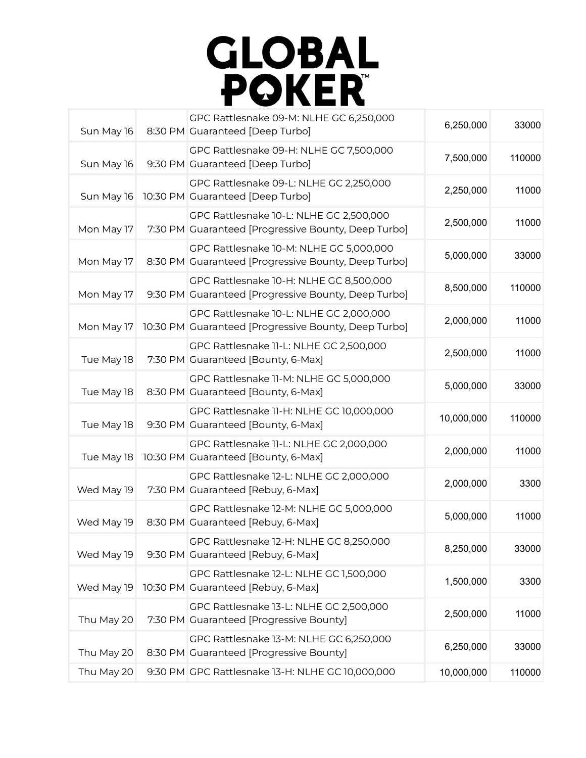

| 33000  | 6,250,000  | GPC Rattlesnake 09-M: NLHE GC 6,250,000<br>8:30 PM Guaranteed [Deep Turbo]                      | Sun May 16 |
|--------|------------|-------------------------------------------------------------------------------------------------|------------|
| 110000 | 7,500,000  | GPC Rattlesnake 09-H: NLHE GC 7,500,000<br>9:30 PM Guaranteed [Deep Turbo]                      | Sun May 16 |
| 11000  | 2,250,000  | GPC Rattlesnake 09-L: NLHE GC 2,250,000<br>10:30 PM Guaranteed [Deep Turbo]                     | Sun May 16 |
| 11000  | 2,500,000  | GPC Rattlesnake 10-L: NLHE GC 2,500,000<br>7:30 PM Guaranteed [Progressive Bounty, Deep Turbo]  | Mon May 17 |
| 33000  | 5,000,000  | GPC Rattlesnake 10-M: NLHE GC 5,000,000<br>8:30 PM Guaranteed [Progressive Bounty, Deep Turbo]  | Mon May 17 |
| 110000 | 8,500,000  | GPC Rattlesnake 10-H: NLHE GC 8,500,000<br>9:30 PM Guaranteed [Progressive Bounty, Deep Turbo]  | Mon May 17 |
| 11000  | 2,000,000  | GPC Rattlesnake 10-L: NLHE GC 2,000,000<br>10:30 PM Guaranteed [Progressive Bounty, Deep Turbo] | Mon May 17 |
| 11000  | 2,500,000  | GPC Rattlesnake 11-L: NLHE GC 2,500,000<br>7:30 PM Guaranteed [Bounty, 6-Max]                   | Tue May 18 |
| 33000  | 5,000,000  | GPC Rattlesnake 11-M: NLHE GC 5,000,000<br>8:30 PM Guaranteed [Bounty, 6-Max]                   | Tue May 18 |
| 110000 | 10,000,000 | GPC Rattlesnake 11-H: NLHE GC 10,000,000<br>9:30 PM Guaranteed [Bounty, 6-Max]                  | Tue May 18 |
| 11000  | 2,000,000  | GPC Rattlesnake 11-L: NLHE GC 2,000,000<br>10:30 PM Guaranteed [Bounty, 6-Max]                  | Tue May 18 |
| 3300   | 2,000,000  | GPC Rattlesnake 12-L: NLHE GC 2,000,000<br>7:30 PM Guaranteed [Rebuy, 6-Max]                    | Wed May 19 |
| 11000  | 5,000,000  | GPC Rattlesnake 12-M: NLHE GC 5,000,000<br>8:30 PM Guaranteed [Rebuy, 6-Max]                    | Wed May 19 |
| 33000  | 8,250,000  | GPC Rattlesnake 12-H: NLHE GC 8,250,000<br>9:30 PM Guaranteed [Rebuy, 6-Max]                    | Wed May 19 |
| 3300   | 1,500,000  | GPC Rattlesnake 12-L: NLHE GC 1,500,000<br>10:30 PM Guaranteed [Rebuy, 6-Max]                   | Wed May 19 |
| 11000  | 2,500,000  | GPC Rattlesnake 13-L: NLHE GC 2,500,000<br>7:30 PM Guaranteed [Progressive Bounty]              | Thu May 20 |
| 33000  | 6,250,000  | GPC Rattlesnake 13-M: NLHE GC 6,250,000<br>8:30 PM Guaranteed [Progressive Bounty]              | Thu May 20 |
| 110000 | 10,000,000 | 9:30 PM GPC Rattlesnake 13-H: NLHE GC 10,000,000                                                | Thu May 20 |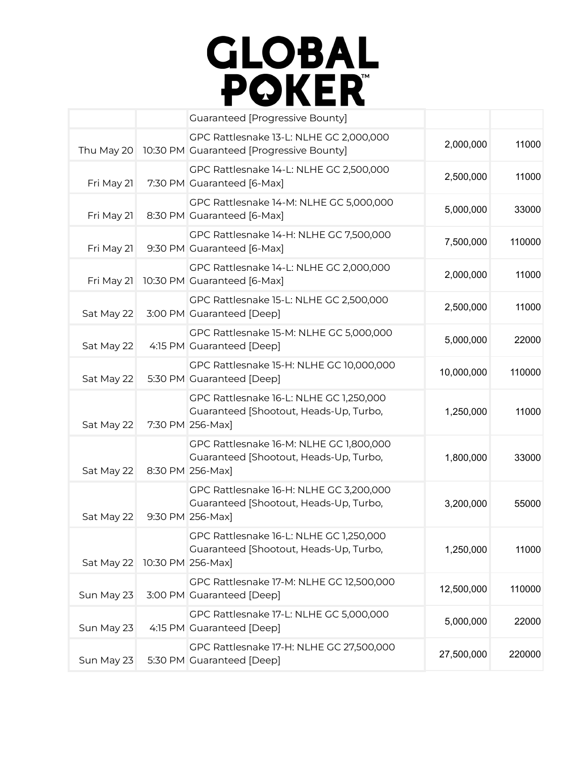

|            | <b>Guaranteed [Progressive Bounty]</b>                                                                 |            |        |
|------------|--------------------------------------------------------------------------------------------------------|------------|--------|
| Thu May 20 | GPC Rattlesnake 13-L: NLHE GC 2,000,000<br>10:30 PM Guaranteed [Progressive Bounty]                    | 2,000,000  | 11000  |
| Fri May 21 | GPC Rattlesnake 14-L: NLHE GC 2,500,000<br>7:30 PM Guaranteed [6-Max]                                  | 2,500,000  | 11000  |
| Fri May 21 | GPC Rattlesnake 14-M: NLHE GC 5,000,000<br>8:30 PM Guaranteed [6-Max]                                  | 5,000,000  | 33000  |
| Fri May 21 | GPC Rattlesnake 14-H: NLHE GC 7,500,000<br>9:30 PM Guaranteed [6-Max]                                  | 7,500,000  | 110000 |
| Fri May 21 | GPC Rattlesnake 14-L: NLHE GC 2,000,000<br>10:30 PM Guaranteed [6-Max]                                 | 2,000,000  | 11000  |
| Sat May 22 | GPC Rattlesnake 15-L: NLHE GC 2,500,000<br>3:00 PM Guaranteed [Deep]                                   | 2,500,000  | 11000  |
| Sat May 22 | GPC Rattlesnake 15-M: NLHE GC 5,000,000<br>4:15 PM Guaranteed [Deep]                                   | 5,000,000  | 22000  |
| Sat May 22 | GPC Rattlesnake 15-H: NLHE GC 10,000,000<br>5:30 PM Guaranteed [Deep]                                  | 10,000,000 | 110000 |
| Sat May 22 | GPC Rattlesnake 16-L: NLHE GC 1,250,000<br>Guaranteed [Shootout, Heads-Up, Turbo,<br>7:30 PM 256-Max]  | 1,250,000  | 11000  |
| Sat May 22 | GPC Rattlesnake 16-M: NLHE GC 1,800,000<br>Guaranteed [Shootout, Heads-Up, Turbo,<br>8:30 PM 256-Max]  | 1,800,000  | 33000  |
| Sat May 22 | GPC Rattlesnake 16-H: NLHE GC 3,200,000<br>Guaranteed [Shootout, Heads-Up, Turbo,<br>9:30 PM 256-Max]  | 3,200,000  | 55000  |
| Sat May 22 | GPC Rattlesnake 16-L: NLHE GC 1,250,000<br>Guaranteed [Shootout, Heads-Up, Turbo,<br>10:30 PM 256-Max] | 1,250,000  | 11000  |
| Sun May 23 | GPC Rattlesnake 17-M: NLHE GC 12,500,000<br>3:00 PM Guaranteed [Deep]                                  | 12,500,000 | 110000 |
| Sun May 23 | GPC Rattlesnake 17-L: NLHE GC 5,000,000<br>4:15 PM Guaranteed [Deep]                                   | 5,000,000  | 22000  |
| Sun May 23 | GPC Rattlesnake 17-H: NLHE GC 27,500,000<br>5:30 PM Guaranteed [Deep]                                  | 27,500,000 | 220000 |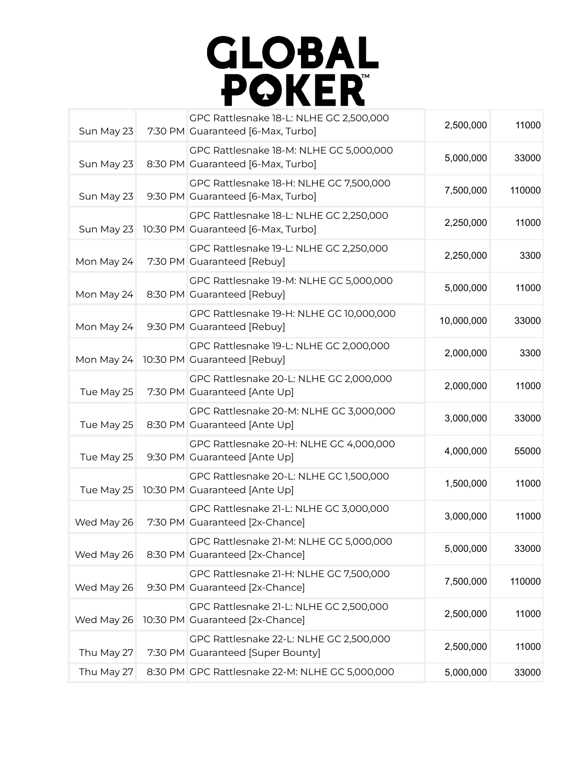

| Sun May 23 | GPC Rattlesnake 18-L: NLHE GC 2,500,000<br>7:30 PM Guaranteed [6-Max, Turbo]  | 2,500,000  | 11000  |
|------------|-------------------------------------------------------------------------------|------------|--------|
| Sun May 23 | GPC Rattlesnake 18-M: NLHE GC 5,000,000<br>8:30 PM Guaranteed [6-Max, Turbo]  | 5,000,000  | 33000  |
| Sun May 23 | GPC Rattlesnake 18-H: NLHE GC 7,500,000<br>9:30 PM Guaranteed [6-Max, Turbo]  | 7,500,000  | 110000 |
| Sun May 23 | GPC Rattlesnake 18-L: NLHE GC 2,250,000<br>10:30 PM Guaranteed [6-Max, Turbo] | 2,250,000  | 11000  |
| Mon May 24 | GPC Rattlesnake 19-L: NLHE GC 2,250,000<br>7:30 PM Guaranteed [Rebuy]         | 2,250,000  | 3300   |
| Mon May 24 | GPC Rattlesnake 19-M: NLHE GC 5,000,000<br>8:30 PM Guaranteed [Rebuy]         | 5,000,000  | 11000  |
| Mon May 24 | GPC Rattlesnake 19-H: NLHE GC 10,000,000<br>9:30 PM Guaranteed [Rebuy]        | 10,000,000 | 33000  |
| Mon May 24 | GPC Rattlesnake 19-L: NLHE GC 2,000,000<br>10:30 PM Guaranteed [Rebuy]        | 2,000,000  | 3300   |
| Tue May 25 | GPC Rattlesnake 20-L: NLHE GC 2,000,000<br>7:30 PM Guaranteed [Ante Up]       | 2,000,000  | 11000  |
| Tue May 25 | GPC Rattlesnake 20-M: NLHE GC 3,000,000<br>8:30 PM Guaranteed [Ante Up]       | 3,000,000  | 33000  |
| Tue May 25 | GPC Rattlesnake 20-H: NLHE GC 4,000,000<br>9:30 PM Guaranteed [Ante Up]       | 4,000,000  | 55000  |
| Tue May 25 | GPC Rattlesnake 20-L: NLHE GC 1,500,000<br>10:30 PM Guaranteed [Ante Up]      | 1,500,000  | 11000  |
| Wed May 26 | GPC Rattlesnake 21-L: NLHE GC 3,000,000<br>7:30 PM Guaranteed [2x-Chance]     | 3,000,000  | 11000  |
| Wed May 26 | GPC Rattlesnake 21-M: NLHE GC 5,000,000<br>8:30 PM Guaranteed [2x-Chance]     | 5,000,000  | 33000  |
| Wed May 26 | GPC Rattlesnake 21-H: NLHE GC 7,500,000<br>9:30 PM Guaranteed [2x-Chance]     | 7,500,000  | 110000 |
| Wed May 26 | GPC Rattlesnake 21-L: NLHE GC 2,500,000<br>10:30 PM Guaranteed [2x-Chance]    | 2,500,000  | 11000  |
| Thu May 27 | GPC Rattlesnake 22-L: NLHE GC 2,500,000<br>7:30 PM Guaranteed [Super Bounty]  | 2,500,000  | 11000  |
| Thu May 27 | 8:30 PM GPC Rattlesnake 22-M: NLHE GC 5,000,000                               | 5,000,000  | 33000  |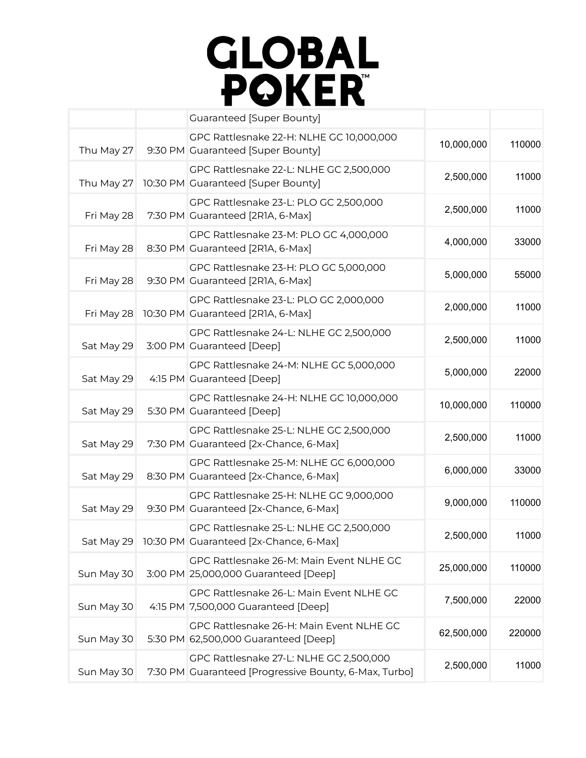

|            | <b>Guaranteed [Super Bounty]</b>                                                                 |            |        |
|------------|--------------------------------------------------------------------------------------------------|------------|--------|
| Thu May 27 | GPC Rattlesnake 22-H: NLHE GC 10,000,000<br>9:30 PM Guaranteed [Super Bounty]                    | 10,000,000 | 110000 |
| Thu May 27 | GPC Rattlesnake 22-L: NLHE GC 2,500,000<br>10:30 PM Guaranteed [Super Bounty]                    | 2,500,000  | 11000  |
| Fri May 28 | GPC Rattlesnake 23-L: PLO GC 2,500,000<br>7:30 PM Guaranteed [2R1A, 6-Max]                       | 2,500,000  | 11000  |
| Fri May 28 | GPC Rattlesnake 23-M: PLO GC 4,000,000<br>8:30 PM Guaranteed [2R1A, 6-Max]                       | 4,000,000  | 33000  |
| Fri May 28 | GPC Rattlesnake 23-H: PLO GC 5,000,000<br>9:30 PM Guaranteed [2R1A, 6-Max]                       | 5,000,000  | 55000  |
| Fri May 28 | GPC Rattlesnake 23-L: PLO GC 2,000,000<br>10:30 PM Guaranteed [2R1A, 6-Max]                      | 2,000,000  | 11000  |
| Sat May 29 | GPC Rattlesnake 24-L: NLHE GC 2,500,000<br>3:00 PM Guaranteed [Deep]                             | 2,500,000  | 11000  |
| Sat May 29 | GPC Rattlesnake 24-M: NLHE GC 5,000,000<br>4:15 PM Guaranteed [Deep]                             | 5,000,000  | 22000  |
| Sat May 29 | GPC Rattlesnake 24-H: NLHE GC 10,000,000<br>5:30 PM Guaranteed [Deep]                            | 10,000,000 | 110000 |
| Sat May 29 | GPC Rattlesnake 25-L: NLHE GC 2,500,000<br>7:30 PM Guaranteed [2x-Chance, 6-Max]                 | 2,500,000  | 11000  |
| Sat May 29 | GPC Rattlesnake 25-M: NLHE GC 6,000,000<br>8:30 PM Guaranteed [2x-Chance, 6-Max]                 | 6,000,000  | 33000  |
| Sat May 29 | GPC Rattlesnake 25-H: NLHE GC 9,000,000<br>9:30 PM Guaranteed [2x-Chance, 6-Max]                 | 9,000,000  | 110000 |
|            | GPC Rattlesnake 25-L: NLHE GC 2,500,000<br>Sat May 29 10:30 PM Guaranteed [2x-Chance, 6-Max]     | 2,500,000  | 11000  |
| Sun May 30 | GPC Rattlesnake 26-M: Main Event NLHE GC<br>3:00 PM 25,000,000 Guaranteed [Deep]                 | 25,000,000 | 110000 |
| Sun May 30 | GPC Rattlesnake 26-L: Main Event NLHE GC<br>4:15 PM 7,500,000 Guaranteed [Deep]                  | 7,500,000  | 22000  |
| Sun May 30 | GPC Rattlesnake 26-H: Main Event NLHE GC<br>5:30 PM 62,500,000 Guaranteed [Deep]                 | 62,500,000 | 220000 |
| Sun May 30 | GPC Rattlesnake 27-L: NLHE GC 2,500,000<br>7:30 PM Guaranteed [Progressive Bounty, 6-Max, Turbo] | 2,500,000  | 11000  |